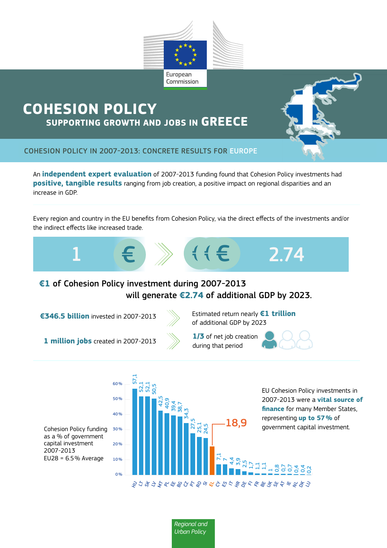

## **COHESION POLICY SUPPORTING GROWTH AND JOBS IN GREECE**



COHESION POLICY IN 2007-2013: CONCRETE RESULTS FOR EUROPE

An **independent expert evaluation** of 2007-2013 funding found that Cohesion Policy investments had **positive, tangible results** ranging from job creation, a positive impact on regional disparities and an increase in GDP.

Every region and country in the EU benefits from Cohesion Policy, via the direct effects of the investments and/or the indirect effects like increased trade.



## **€1** of Cohesion Policy investment during 2007-2013 will generate **€2.74** of additional GDP by 2023.

**€346.5 billion** invested in 2007-2013 Estimated return nearly **€1 trillion**



of additional GDP by 2023

**1 million jobs** created in 2007-2013 during that period

 $60%$ 

57,1



**1/3** of net job creation



EU Cohesion Policy investments in 2007-2013 were a **vital source of finance** for many Member States, representing **up to 57%** of government capital investment.

Cohesion Policy funding as a % of government capital investment 2007-2013 EU28 = 6.5% Average



**Regional and** *Urban Policy*